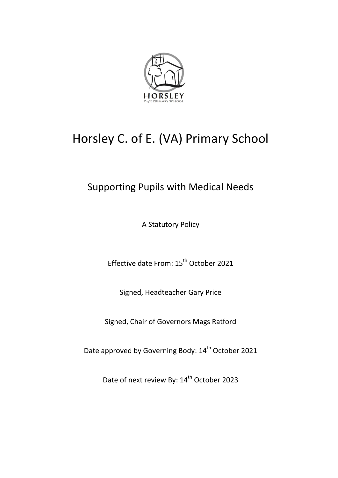

# Horsley C. of E. (VA) Primary School

# Supporting Pupils with Medical Needs

A Statutory Policy

Effective date From: 15<sup>th</sup> October 2021

Signed, Headteacher Gary Price

Signed, Chair of Governors Mags Ratford

Date approved by Governing Body: 14<sup>th</sup> October 2021

Date of next review By: 14<sup>th</sup> October 2023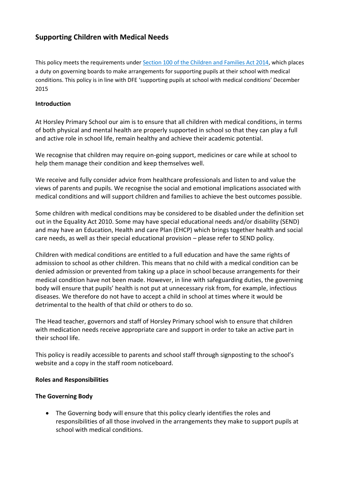# **Supporting Children with Medical Needs**

This policy meets the requirements unde[r Section 100 of the Children and Families Act 2014,](http://www.legislation.gov.uk/ukpga/2014/6/part/5/crossheading/pupils-with-medical-conditions) which places a duty on governing boards to make arrangements for supporting pupils at their school with medical conditions. This policy is in line with DFE 'supporting pupils at school with medical conditions' December 2015

#### **Introduction**

At Horsley Primary School our aim is to ensure that all children with medical conditions, in terms of both physical and mental health are properly supported in school so that they can play a full and active role in school life, remain healthy and achieve their academic potential.

We recognise that children may require on-going support, medicines or care while at school to help them manage their condition and keep themselves well.

We receive and fully consider advice from healthcare professionals and listen to and value the views of parents and pupils. We recognise the social and emotional implications associated with medical conditions and will support children and families to achieve the best outcomes possible.

Some children with medical conditions may be considered to be disabled under the definition set out in the Equality Act 2010. Some may have special educational needs and/or disability (SEND) and may have an Education, Health and care Plan (EHCP) which brings together health and social care needs, as well as their special educational provision – please refer to SEND policy.

Children with medical conditions are entitled to a full education and have the same rights of admission to school as other children. This means that no child with a medical condition can be denied admission or prevented from taking up a place in school because arrangements for their medical condition have not been made. However, in line with safeguarding duties, the governing body will ensure that pupils' health is not put at unnecessary risk from, for example, infectious diseases. We therefore do not have to accept a child in school at times where it would be detrimental to the health of that child or others to do so.

The Head teacher, governors and staff of Horsley Primary school wish to ensure that children with medication needs receive appropriate care and support in order to take an active part in their school life.

This policy is readily accessible to parents and school staff through signposting to the school's website and a copy in the staff room noticeboard.

#### **Roles and Responsibilities**

#### **The Governing Body**

• The Governing body will ensure that this policy clearly identifies the roles and responsibilities of all those involved in the arrangements they make to support pupils at school with medical conditions.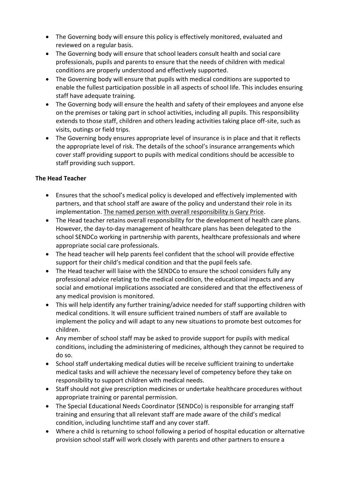- The Governing body will ensure this policy is effectively monitored, evaluated and reviewed on a regular basis.
- The Governing body will ensure that school leaders consult health and social care professionals, pupils and parents to ensure that the needs of children with medical conditions are properly understood and effectively supported.
- The Governing body will ensure that pupils with medical conditions are supported to enable the fullest participation possible in all aspects of school life. This includes ensuring staff have adequate training.
- The Governing body will ensure the health and safety of their employees and anyone else on the premises or taking part in school activities, including all pupils. This responsibility extends to those staff, children and others leading activities taking place off-site, such as visits, outings or field trips.
- The Governing body ensures appropriate level of insurance is in place and that it reflects the appropriate level of risk. The details of the school's insurance arrangements which cover staff providing support to pupils with medical conditions should be accessible to staff providing such support.

#### **The Head Teacher**

- Ensures that the school's medical policy is developed and effectively implemented with partners, and that school staff are aware of the policy and understand their role in its implementation. The named person with overall responsibility is Gary Price.
- The Head teacher retains overall responsibility for the development of health care plans. However, the day-to-day management of healthcare plans has been delegated to the school SENDCo working in partnership with parents, healthcare professionals and where appropriate social care professionals.
- The head teacher will help parents feel confident that the school will provide effective support for their child's medical condition and that the pupil feels safe.
- The Head teacher will liaise with the SENDCo to ensure the school considers fully any professional advice relating to the medical condition, the educational impacts and any social and emotional implications associated are considered and that the effectiveness of any medical provision is monitored.
- This will help identify any further training/advice needed for staff supporting children with medical conditions. It will ensure sufficient trained numbers of staff are available to implement the policy and will adapt to any new situations to promote best outcomes for children.
- Any member of school staff may be asked to provide support for pupils with medical conditions, including the administering of medicines, although they cannot be required to do so.
- School staff undertaking medical duties will be receive sufficient training to undertake medical tasks and will achieve the necessary level of competency before they take on responsibility to support children with medical needs.
- Staff should not give prescription medicines or undertake healthcare procedures without appropriate training or parental permission.
- The Special Educational Needs Coordinator (SENDCo) is responsible for arranging staff training and ensuring that all relevant staff are made aware of the child's medical condition, including lunchtime staff and any cover staff.
- Where a child is returning to school following a period of hospital education or alternative provision school staff will work closely with parents and other partners to ensure a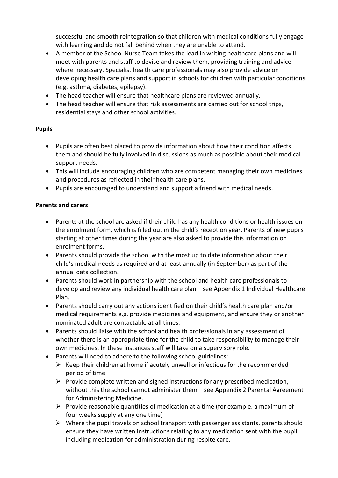successful and smooth reintegration so that children with medical conditions fully engage with learning and do not fall behind when they are unable to attend.

- A member of the School Nurse Team takes the lead in writing healthcare plans and will meet with parents and staff to devise and review them, providing training and advice where necessary. Specialist health care professionals may also provide advice on developing health care plans and support in schools for children with particular conditions (e.g. asthma, diabetes, epilepsy).
- The head teacher will ensure that healthcare plans are reviewed annually.
- The head teacher will ensure that risk assessments are carried out for school trips, residential stays and other school activities.

#### **Pupils**

- Pupils are often best placed to provide information about how their condition affects them and should be fully involved in discussions as much as possible about their medical support needs.
- This will include encouraging children who are competent managing their own medicines and procedures as reflected in their health care plans.
- Pupils are encouraged to understand and support a friend with medical needs.

#### **Parents and carers**

- Parents at the school are asked if their child has any health conditions or health issues on the enrolment form, which is filled out in the child's reception year. Parents of new pupils starting at other times during the year are also asked to provide this information on enrolment forms.
- Parents should provide the school with the most up to date information about their child's medical needs as required and at least annually (in September) as part of the annual data collection.
- Parents should work in partnership with the school and health care professionals to develop and review any individual health care plan – see Appendix 1 Individual Healthcare Plan.
- Parents should carry out any actions identified on their child's health care plan and/or medical requirements e.g. provide medicines and equipment, and ensure they or another nominated adult are contactable at all times.
- Parents should liaise with the school and health professionals in any assessment of whether there is an appropriate time for the child to take responsibility to manage their own medicines. In these instances staff will take on a supervisory role.
	- Parents will need to adhere to the following school guidelines:
		- $\triangleright$  Keep their children at home if acutely unwell or infectious for the recommended period of time
		- $\triangleright$  Provide complete written and signed instructions for any prescribed medication, without this the school cannot administer them – see Appendix 2 Parental Agreement for Administering Medicine.
		- $\triangleright$  Provide reasonable quantities of medication at a time (for example, a maximum of four weeks supply at any one time)
		- $\triangleright$  Where the pupil travels on school transport with passenger assistants, parents should ensure they have written instructions relating to any medication sent with the pupil, including medication for administration during respite care.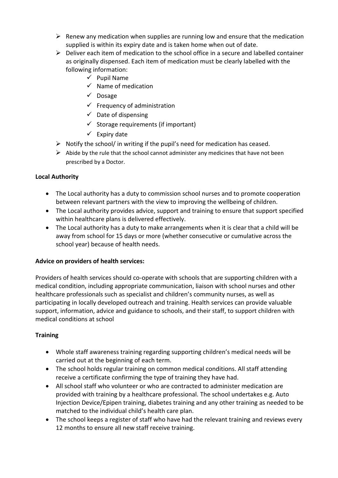- $\triangleright$  Renew any medication when supplies are running low and ensure that the medication supplied is within its expiry date and is taken home when out of date.
- $\triangleright$  Deliver each item of medication to the school office in a secure and labelled container as originally dispensed. Each item of medication must be clearly labelled with the following information:
	- $\checkmark$  Pupil Name
	- $\checkmark$  Name of medication
	- $\checkmark$  Dosage
	- $\checkmark$  Frequency of administration
	- $\checkmark$  Date of dispensing
	- $\checkmark$  Storage requirements (if important)
	- $\checkmark$  Expiry date
- $\triangleright$  Notify the school/ in writing if the pupil's need for medication has ceased.
- $\triangleright$  Abide by the rule that the school cannot administer any medicines that have not been prescribed by a Doctor.

#### **Local Authority**

- The Local authority has a duty to commission school nurses and to promote cooperation between relevant partners with the view to improving the wellbeing of children.
- The Local authority provides advice, support and training to ensure that support specified within healthcare plans is delivered effectively.
- The Local authority has a duty to make arrangements when it is clear that a child will be away from school for 15 days or more (whether consecutive or cumulative across the school year) because of health needs.

#### **Advice on providers of health services:**

Providers of health services should co-operate with schools that are supporting children with a medical condition, including appropriate communication, liaison with school nurses and other healthcare professionals such as specialist and children's community nurses, as well as participating in locally developed outreach and training. Health services can provide valuable support, information, advice and guidance to schools, and their staff, to support children with medical conditions at school

# **Training**

- Whole staff awareness training regarding supporting children's medical needs will be carried out at the beginning of each term.
- The school holds regular training on common medical conditions. All staff attending receive a certificate confirming the type of training they have had.
- All school staff who volunteer or who are contracted to administer medication are provided with training by a healthcare professional. The school undertakes e.g. Auto Injection Device/Epipen training, diabetes training and any other training as needed to be matched to the individual child's health care plan.
- The school keeps a register of staff who have had the relevant training and reviews every 12 months to ensure all new staff receive training.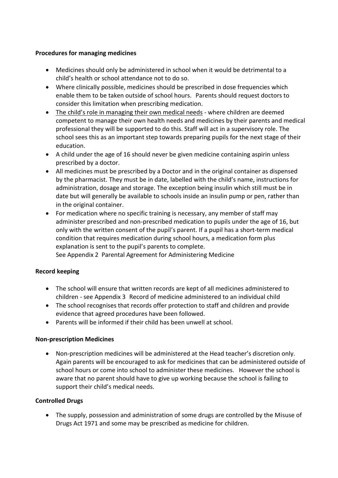#### **Procedures for managing medicines**

- Medicines should only be administered in school when it would be detrimental to a child's health or school attendance not to do so.
- Where clinically possible, medicines should be prescribed in dose frequencies which enable them to be taken outside of school hours. Parents should request doctors to consider this limitation when prescribing medication.
- The child's role in managing their own medical needs where children are deemed competent to manage their own health needs and medicines by their parents and medical professional they will be supported to do this. Staff will act in a supervisory role. The school sees this as an important step towards preparing pupils for the next stage of their education.
- A child under the age of 16 should never be given medicine containing aspirin unless prescribed by a doctor.
- All medicines must be prescribed by a Doctor and in the original container as dispensed by the pharmacist. They must be in date, labelled with the child's name, instructions for administration, dosage and storage. The exception being insulin which still must be in date but will generally be available to schools inside an insulin pump or pen, rather than in the original container.
- For medication where no specific training is necessary, any member of staff may administer prescribed and non-prescribed medication to pupils under the age of 16, but only with the written consent of the pupil's parent. If a pupil has a short-term medical condition that requires medication during school hours, a medication form plus explanation is sent to the pupil's parents to complete.

See Appendix 2 Parental Agreement for Administering Medicine

#### **Record keeping**

- The school will ensure that written records are kept of all medicines administered to children - see Appendix 3 Record of medicine administered to an individual child
- The school recognises that records offer protection to staff and children and provide evidence that agreed procedures have been followed.
- Parents will be informed if their child has been unwell at school.

#### **Non-prescription Medicines**

 Non-prescription medicines will be administered at the Head teacher's discretion only. Again parents will be encouraged to ask for medicines that can be administered outside of school hours or come into school to administer these medicines. However the school is aware that no parent should have to give up working because the school is failing to support their child's medical needs.

#### **Controlled Drugs**

 The supply, possession and administration of some drugs are controlled by the Misuse of Drugs Act 1971 and some may be prescribed as medicine for children.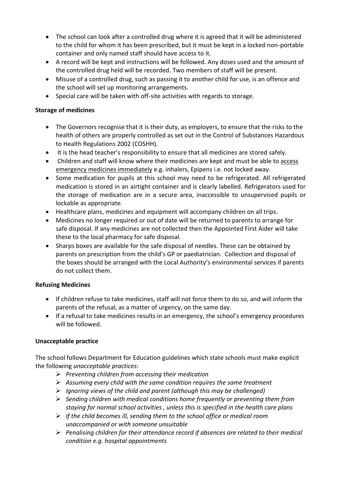- The school can look after a controlled drug where it is agreed that it will be administered to the child for whom it has been prescribed, but it must be kept in a locked non-portable container and only named staff should have access to it.
- A record will be kept and instructions will be followed. Any doses used and the amount of the controlled drug held will be recorded. Two members of staff will be present.
- Misuse of a controlled drug, such as passing it to another child for use, is an offence and the school will set up monitoring arrangements.
- Special care will be taken with off-site activities with regards to storage.

#### **Storage of medicines**

- The Governors recognise that it is their duty, as employers, to ensure that the risks to the health of others are properly controlled as set out in the Control of Substances Hazardous to Health Regulations 2002 (COSHH).
- It is the head teacher's responsibility to ensure that all medicines are stored safely.
- Children and staff will know where their medicines are kept and must be able to access emergency medicines immediately e.g. inhalers, Epipens i.e. not locked away.
- Some medication for pupils at this school may need to be refrigerated. All refrigerated medication is stored in an airtight container and is clearly labelled. Refrigerators used for the storage of medication are in a secure area, inaccessible to unsupervised pupils or lockable as appropriate.
- Healthcare plans, medicines and equipment will accompany children on all trips.
- Medicines no longer required or out of date will be returned to parents to arrange for safe disposal. If any medicines are not collected then the Appointed First Aider will take these to the local pharmacy for safe disposal.
- Sharps boxes are available for the safe disposal of needles. These can be obtained by parents on prescription from the child's GP or paediatrician. Collection and disposal of the boxes should be arranged with the Local Authority's environmental services if parents do not collect them.

#### **Refusing Medicines**

- If children refuse to take medicines, staff will not force them to do so, and will inform the parents of the refusal, as a matter of urgency, on the same day.
- If a refusal to take medicines results in an emergency, the school's emergency procedures will be followed.

# **Unacceptable practice**

The school follows Department for Education guidelines which state schools must make explicit the following *unacceptable practices*:

- *Preventing children from accessing their medication*
- *Assuming every child with the same condition requires the same treatment*
- *Ignoring views of the child and parent (although this may be challenged)*
- *Sending children with medical conditions home frequently or preventing them from staying for normal school activities , unless this is specified in the health care plans*
- *If the child becomes ill, sending them to the school office or medical room unaccompanied or with someone unsuitable*
- *Penalising children for their attendance record if absences are related to their medical condition e.g. hospital appointments*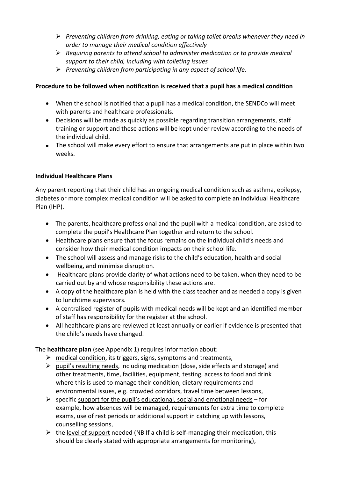- *Preventing children from drinking, eating or taking toilet breaks whenever they need in order to manage their medical condition effectively*
- *Requiring parents to attend school to administer medication or to provide medical support to their child, including with toileting issues*
- *Preventing children from participating in any aspect of school life.*

# **Procedure to be followed when notification is received that a pupil has a medical condition**

- When the school is notified that a pupil has a medical condition, the SENDCo will meet with parents and healthcare professionals.
- Decisions will be made as quickly as possible regarding transition arrangements, staff training or support and these actions will be kept under review according to the needs of the individual child.
- The school will make every effort to ensure that arrangements are put in place within two weeks.

# **Individual Healthcare Plans**

Any parent reporting that their child has an ongoing medical condition such as asthma, epilepsy, diabetes or more complex medical condition will be asked to complete an Individual Healthcare Plan (IHP).

- The parents, healthcare professional and the pupil with a medical condition, are asked to complete the pupil's Healthcare Plan together and return to the school.
- Healthcare plans ensure that the focus remains on the individual child's needs and consider how their medical condition impacts on their school life.
- The school will assess and manage risks to the child's education, health and social wellbeing, and minimise disruption.
- Healthcare plans provide clarity of what actions need to be taken, when they need to be carried out by and whose responsibility these actions are.
- A copy of the healthcare plan is held with the class teacher and as needed a copy is given to lunchtime supervisors.
- A centralised register of pupils with medical needs will be kept and an identified member of staff has responsibility for the register at the school.
- All healthcare plans are reviewed at least annually or earlier if evidence is presented that the child's needs have changed.

The **healthcare plan** (see Appendix 1) requires information about:

- $\triangleright$  medical condition, its triggers, signs, symptoms and treatments,
- $\triangleright$  pupil's resulting needs, including medication (dose, side effects and storage) and other treatments, time, facilities, equipment, testing, access to food and drink where this is used to manage their condition, dietary requirements and environmental issues, e.g. crowded corridors, travel time between lessons,
- $\triangleright$  specific support for the pupil's educational, social and emotional needs for example, how absences will be managed, requirements for extra time to complete exams, use of rest periods or additional support in catching up with lessons, counselling sessions,
- $\triangleright$  the level of support needed (NB If a child is self-managing their medication, this should be clearly stated with appropriate arrangements for monitoring),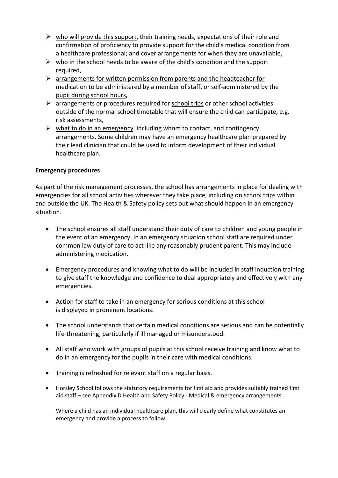- $\triangleright$  who will provide this support, their training needs, expectations of their role and confirmation of proficiency to provide support for the child's medical condition from a healthcare professional; and cover arrangements for when they are unavailable,
- $\triangleright$  who in the school needs to be aware of the child's condition and the support required,
- $\triangleright$  arrangements for written permission from parents and the headteacher for medication to be administered by a member of staff, or self-administered by the pupil during school hours**,**
- $\triangleright$  arrangements or procedures required for school trips or other school activities outside of the normal school timetable that will ensure the child can participate, e.g. risk assessments,
- $\triangleright$  what to do in an emergency, including whom to contact, and contingency arrangements. Some children may have an emergency healthcare plan prepared by their lead clinician that could be used to inform development of their individual healthcare plan.

#### **Emergency procedures**

As part of the risk management processes, the school has arrangements in place for dealing with emergencies for all school activities wherever they take place, including on school trips within and outside the UK. The Health & Safety policy sets out what should happen in an emergency situation.

- The school ensures all staff understand their duty of care to children and young people in the event of an emergency. In an emergency situation school staff are required under common law duty of care to act like any reasonably prudent parent. This may include administering medication.
- Emergency procedures and knowing what to do will be included in staff induction training to give staff the knowledge and confidence to deal appropriately and effectively with any emergencies.
- Action for staff to take in an emergency for serious conditions at this school is displayed in prominent locations.
- The school understands that certain medical conditions are serious and can be potentially life-threatening, particularly if ill managed or misunderstood.
- All staff who work with groups of pupils at this school receive training and know what to do in an emergency for the pupils in their care with medical conditions.
- Training is refreshed for relevant staff on a regular basis.
- Horsley School follows the statutory requirements for first aid and provides suitably trained first aid staff – see Appendix D Health and Safety Policy - Medical & emergency arrangements.

Where a child has an individual healthcare plan, this will clearly define what constitutes an emergency and provide a process to follow.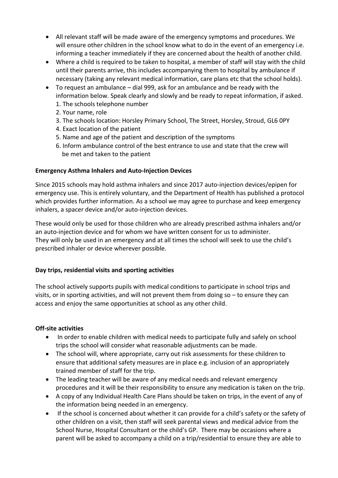- All relevant staff will be made aware of the emergency symptoms and procedures. We will ensure other children in the school know what to do in the event of an emergency i.e. informing a teacher immediately if they are concerned about the health of another child.
- Where a child is required to be taken to hospital, a member of staff will stay with the child until their parents arrive, this includes accompanying them to hospital by ambulance if necessary (taking any relevant medical information, care plans etc that the school holds).
- To request an ambulance dial 999, ask for an ambulance and be ready with the information below. Speak clearly and slowly and be ready to repeat information, if asked.
	- 1. The schools telephone number
	- 2. Your name, role
	- 3. The schools location: Horsley Primary School, The Street, Horsley, Stroud, GL6 0PY
	- 4. Exact location of the patient
	- 5. Name and age of the patient and description of the symptoms
	- 6. Inform ambulance control of the best entrance to use and state that the crew will be met and taken to the patient

# **Emergency Asthma Inhalers and Auto-Injection Devices**

Since 2015 schools may hold asthma inhalers and since 2017 auto-injection devices/epipen for emergency use. This is entirely voluntary, and the Department of Health has published a protocol which provides further information. As a school we may agree to purchase and keep emergency inhalers, a spacer device and/or auto-injection devices.

These would only be used for those children who are already prescribed asthma inhalers and/or an auto-injection device and for whom we have written consent for us to administer. They will only be used in an emergency and at all times the school will seek to use the child's prescribed inhaler or device wherever possible.

# **Day trips, residential visits and sporting activities**

The school actively supports pupils with medical conditions to participate in school trips and visits, or in sporting activities, and will not prevent them from doing so – to ensure they can access and enjoy the same opportunities at school as any other child.

#### **Off-site activities**

- In order to enable children with medical needs to participate fully and safely on school trips the school will consider what reasonable adjustments can be made.
- The school will, where appropriate, carry out risk assessments for these children to ensure that additional safety measures are in place e.g. inclusion of an appropriately trained member of staff for the trip.
- The leading teacher will be aware of any medical needs and relevant emergency procedures and it will be their responsibility to ensure any medication is taken on the trip.
- A copy of any Individual Health Care Plans should be taken on trips, in the event of any of the information being needed in an emergency.
- If the school is concerned about whether it can provide for a child's safety or the safety of other children on a visit, then staff will seek parental views and medical advice from the School Nurse, Hospital Consultant or the child's GP. There may be occasions where a parent will be asked to accompany a child on a trip/residential to ensure they are able to